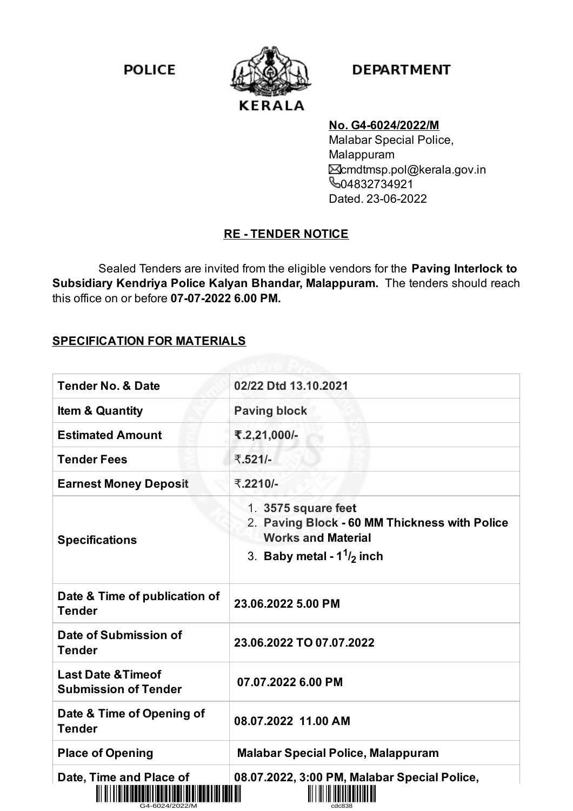**POLICE** 



## **DEPARTMENT**

#### **No. G4-6024/2022/M**

Malabar Special Police, Malappuram cmdtmsp.pol@kerala.gov.in **604832734921** Dated. 23-06-2022

# **RE - TENDER NOTICE**

Sealed Tenders are invited from the eligible vendors for the **Paving Interlock to Subsidiary Kendriya Police Kalyan Bhandar, Malappuram.** The tenders should reach this office on or before **07-07-2022 6.00 PM.**

#### **SPECIFICATION FOR MATERIALS**

| <b>Tender No. &amp; Date</b>                                 | 02/22 Dtd 13.10.2021                                                                                                                   |
|--------------------------------------------------------------|----------------------------------------------------------------------------------------------------------------------------------------|
| <b>Item &amp; Quantity</b>                                   | <b>Paving block</b>                                                                                                                    |
| <b>Estimated Amount</b>                                      | ₹.2,21,000/-                                                                                                                           |
| <b>Tender Fees</b>                                           | ₹.521/-                                                                                                                                |
| <b>Earnest Money Deposit</b>                                 | ₹.2210/-                                                                                                                               |
| <b>Specifications</b>                                        | 1. 3575 square feet<br>2. Paving Block - 60 MM Thickness with Police<br><b>Works and Material</b><br>3. Baby metal - $1^{1}/_{2}$ inch |
| Date & Time of publication of<br><b>Tender</b>               | 23.06.2022 5.00 PM                                                                                                                     |
| Date of Submission of<br><b>Tender</b>                       | 23.06.2022 TO 07.07.2022                                                                                                               |
| <b>Last Date &amp; Timeof</b><br><b>Submission of Tender</b> | 07.07.2022 6.00 PM                                                                                                                     |
| Date & Time of Opening of<br><b>Tender</b>                   | 08.07.2022 11.00 AM                                                                                                                    |
| <b>Place of Opening</b>                                      | <b>Malabar Special Police, Malappuram</b>                                                                                              |
| Date, Time and Place of                                      | 08.07.2022, 3:00 PM, Malabar Special Police,                                                                                           |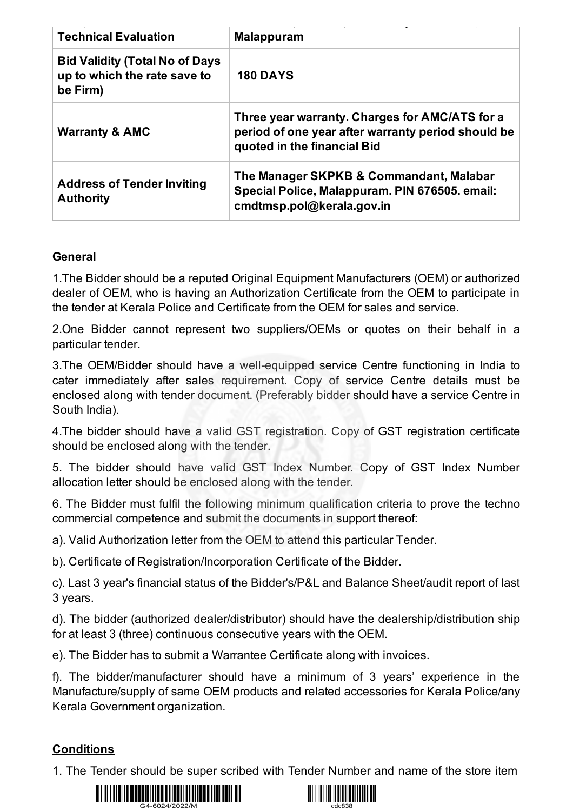| <b>Technical Evaluation</b>                                                       | <b>Malappuram</b>                                                                                                                   |
|-----------------------------------------------------------------------------------|-------------------------------------------------------------------------------------------------------------------------------------|
| <b>Bid Validity (Total No of Days</b><br>up to which the rate save to<br>be Firm) | <b>180 DAYS</b>                                                                                                                     |
| <b>Warranty &amp; AMC</b>                                                         | Three year warranty. Charges for AMC/ATS for a<br>period of one year after warranty period should be<br>quoted in the financial Bid |
| <b>Address of Tender Inviting</b><br><b>Authority</b>                             | The Manager SKPKB & Commandant, Malabar<br>Special Police, Malappuram. PIN 676505. email:<br>cmdtmsp.pol@kerala.gov.in              |

### **General**

1.The Bidder should be a reputed Original Equipment Manufacturers (OEM) or authorized dealer of OEM, who is having an Authorization Certificate from the OEM to participate in the tender at Kerala Police and Certificate from the OEM for sales and service.

2.One Bidder cannot represent two suppliers/OEMs or quotes on their behalf in a particular tender.

3.The OEM/Bidder should have a well-equipped service Centre functioning in India to cater immediately after sales requirement. Copy of service Centre details must be enclosed along with tender document. (Preferably bidder should have a service Centre in South India).

4.The bidder should have a valid GST registration. Copy of GST registration certificate should be enclosed along with the tender.

5. The bidder should have valid GST Index Number. Copy of GST Index Number allocation letter should be enclosed along with the tender.

6. The Bidder must fulfil the following minimum qualification criteria to prove the techno commercial competence and submit the documents in support thereof:

a). Valid Authorization letter from the OEM to attend this particular Tender.

b). Certificate of Registration/Incorporation Certificate of the Bidder.

c). Last 3 year's financial status of the Bidder's/P&L and Balance Sheet/audit report of last 3 years.

d). The bidder (authorized dealer/distributor) should have the dealership/distribution ship for at least 3 (three) continuous consecutive years with the OEM.

e). The Bidder has to submit a Warrantee Certificate along with invoices.

f). The bidder/manufacturer should have a minimum of 3 years' experience in the Manufacture/supply of same OEM products and related accessories for Kerala Police/any Kerala Government organization.

### **Conditions**

1. The Tender should be super scribed with Tender Number and name of the store item



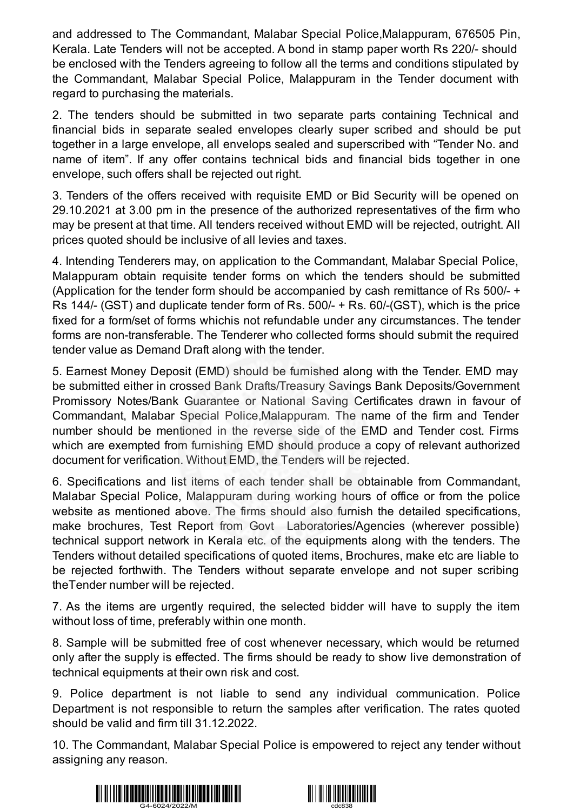and addressed to The Commandant, Malabar Special Police,Malappuram, 676505 Pin, Kerala. Late Tenders will not be accepted. A bond in stamp paper worth Rs 220/- should be enclosed with the Tenders agreeing to follow all the terms and conditions stipulated by the Commandant, Malabar Special Police, Malappuram in the Tender document with regard to purchasing the materials.

2. The tenders should be submitted in two separate parts containing Technical and financial bids in separate sealed envelopes clearly super scribed and should be put together in a large envelope, all envelops sealed and superscribed with "Tender No. and name of item". If any offer contains technical bids and financial bids together in one envelope, such offers shall be rejected out right.

3. Tenders of the offers received with requisite EMD or Bid Security will be opened on 29.10.2021 at 3.00 pm in the presence of the authorized representatives of the firm who may be present at that time. All tenders received without EMD will be rejected, outright. All prices quoted should be inclusive of all levies and taxes.

4. Intending Tenderers may, on application to the Commandant, Malabar Special Police, Malappuram obtain requisite tender forms on which the tenders should be submitted (Application for the tender form should be accompanied by cash remittance of Rs 500/- + Rs 144/- (GST) and duplicate tender form of Rs. 500/- + Rs. 60/-(GST), which is the price fixed for a form/set of forms whichis not refundable under any circumstances. The tender forms are non-transferable. The Tenderer who collected forms should submit the required tender value as Demand Draft along with the tender.

5. Earnest Money Deposit (EMD) should be furnished along with the Tender. EMD may be submitted either in crossed Bank Drafts/Treasury Savings Bank Deposits/Government Promissory Notes/Bank Guarantee or National Saving Certificates drawn in favour of Commandant, Malabar Special Police,Malappuram. The name of the firm and Tender number should be mentioned in the reverse side of the EMD and Tender cost. Firms which are exempted from furnishing EMD should produce a copy of relevant authorized document for verification. Without EMD, the Tenders will be rejected.

6. Specifications and list items of each tender shall be obtainable from Commandant, Malabar Special Police, Malappuram during working hours of office or from the police website as mentioned above. The firms should also furnish the detailed specifications, make brochures, Test Report from Govt Laboratories/Agencies (wherever possible) technical support network in Kerala etc. of the equipments along with the tenders. The Tenders without detailed specifications of quoted items, Brochures, make etc are liable to be rejected forthwith. The Tenders without separate envelope and not super scribing theTender number will be rejected.

7. As the items are urgently required, the selected bidder will have to supply the item without loss of time, preferably within one month.

8. Sample will be submitted free of cost whenever necessary, which would be returned only after the supply is effected. The firms should be ready to show live demonstration of technical equipments at their own risk and cost.

9. Police department is not liable to send any individual communication. Police Department is not responsible to return the samples after verification. The rates quoted should be valid and firm till 31.12.2022.

10. The Commandant, Malabar Special Police is empowered to reject any tender without assigning any reason.